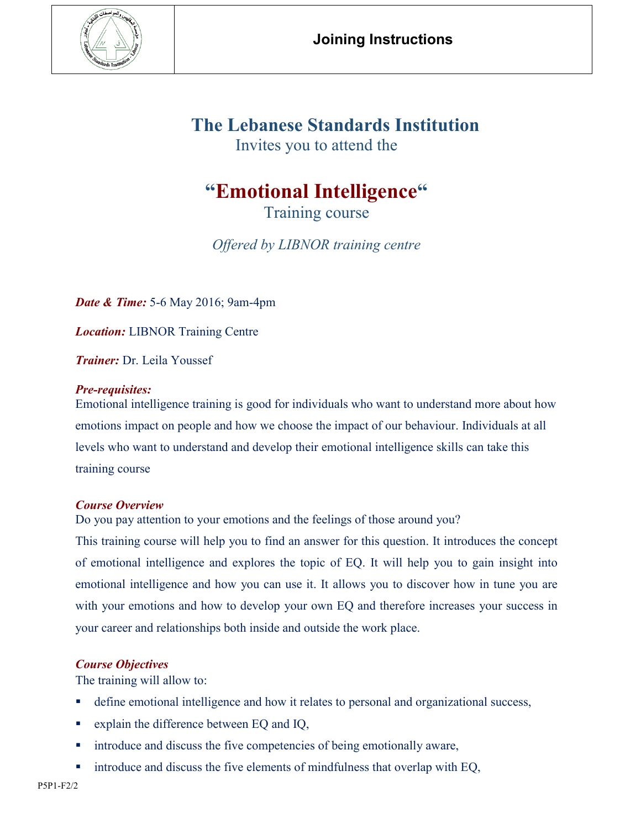

## **The Lebanese Standards Institution**

Invites you to attend the

# **"Emotional Intelligence"**

Training course

*Offered by LIBNOR training centre*

*Date & Time:* 5-6 May 2016; 9am-4pm

*Location:* LIBNOR Training Centre

*Trainer:* Dr. Leila Youssef

### *Pre-requisites:*

Emotional intelligence training is good for individuals who want to understand more about how emotions impact on people and how we choose the impact of our behaviour. Individuals at all levels who want to understand and develop their emotional intelligence skills can take this training course

#### *Course Overview*

Do you pay attention to your emotions and the feelings of those around you?

This training course will help you to find an answer for this question. It introduces the concept of emotional intelligence and explores the topic of EQ. It will help you to gain insight into emotional intelligence and how you can use it. It allows you to discover how in tune you are with your emotions and how to develop your own EQ and therefore increases your success in your career and relationships both inside and outside the work place.

### *Course Objectives*

The training will allow to:

- define emotional intelligence and how it relates to personal and organizational success,
- explain the difference between EQ and IQ,
- introduce and discuss the five competencies of being emotionally aware,
- introduce and discuss the five elements of mindfulness that overlap with EQ,